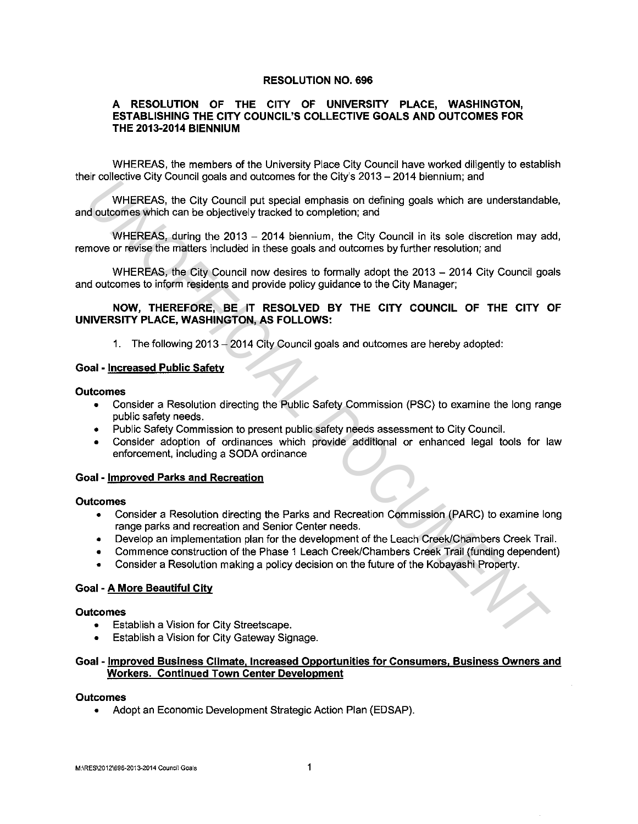### **RESOLUTION NO. 696**

# **A RESOLUTION OF THE CITY OF UNIVERSITY PLACE, WASHINGTON, ESTABLISHING THE CITY COUNCIL'S COLLECTIVE GOALS AND OUTCOMES FOR THE 2013-2014 BIENNIUM**

WHEREAS, the members of the University Place City Council have worked diligently to establish their collective City Council goals and outcomes for the City's 2013-2014 biennium; and

WHEREAS, the City Council put special emphasis on defining goals which are understandable, and outcomes which can be objectively tracked to completion; and In Conclusion and control of the Plance of the Clay 2017 Control of the Clay Conclusion and concernent with the Clay Council put special emphasis on defining goals which are understandable outcomes which can be objectively

WHEREAS, during the 2013 - 2014 biennium, the City Council in its sole discretion may add, remove or revise the matters included in these goals and outcomes by further resolution; and

WHEREAS, the City Council now desires to formally adopt the 2013 - 2014 City Council goals and outcomes to inform residents and provide policy guidance to the City Manager;

## **NOW, THEREFORE, BE IT RESOLVED BY THE CITY COUNCIL OF THE CITY OF UNIVERSITY PLACE, WASHINGTON, AS FOLLOWS:**

1. The following 2013 - 2014 City Council goals and outcomes are hereby adopted:

#### **Goal - Increased Public Safety**

#### **Outcomes**

- Consider a Resolution directing the Public Safety Commission (PSC) to examine the long range public safety needs.
- Public Safety Commission to present public safety needs assessment to City Council.
- Consider adoption of ordinances which provide additional or enhanced legal tools for law enforcement, including a SODA ordinance

### **Goal - Improved Parks and Recreation**

#### **Outcomes**

- Consider a Resolution directing the Parks and Recreation Commission (PARC) to examine long range parks and recreation and Senior Center needs.
- Develop an implementation plan for the development of the Leach Creek/Chambers Creek Trail.
- Commence construction of the Phase 1 Leach Creek/Chambers Creek Trail (funding dependent)
- Consider a Resolution making a policy decision on the future of the Kobayashi Property.

## **Goal - A More Beautiful City**

#### **Outcomes**

- Establish a Vision for City Streetscape.
- Establish a Vision for City Gateway Signage.

## **Goal - Improved Business Climate. Increased Opportunities for Consumers. Business Owners and Workers. Continued Town Center Development**

#### **Outcomes**

• Adopt an Economic Development Strategic Action Plan (EDSAP).